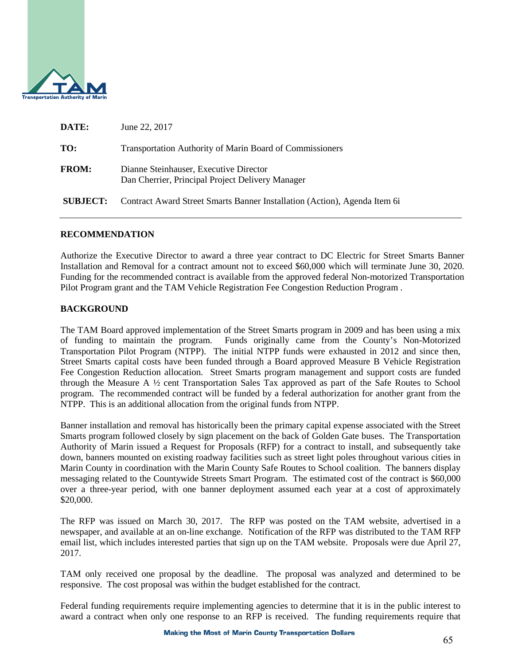

| DATE:           | June 22, 2017                                                                              |
|-----------------|--------------------------------------------------------------------------------------------|
| TO:             | <b>Transportation Authority of Marin Board of Commissioners</b>                            |
| <b>FROM:</b>    | Dianne Steinhauser, Executive Director<br>Dan Cherrier, Principal Project Delivery Manager |
| <b>SUBJECT:</b> | Contract Award Street Smarts Banner Installation (Action), Agenda Item 6i                  |

#### **RECOMMENDATION**

Authorize the Executive Director to award a three year contract to DC Electric for Street Smarts Banner Installation and Removal for a contract amount not to exceed \$60,000 which will terminate June 30, 2020. Funding for the recommended contract is available from the approved federal Non-motorized Transportation Pilot Program grant and the TAM Vehicle Registration Fee Congestion Reduction Program .

### **BACKGROUND**

The TAM Board approved implementation of the Street Smarts program in 2009 and has been using a mix of funding to maintain the program. Funds originally came from the County's Non-Motorized Transportation Pilot Program (NTPP). The initial NTPP funds were exhausted in 2012 and since then, Street Smarts capital costs have been funded through a Board approved Measure B Vehicle Registration Fee Congestion Reduction allocation. Street Smarts program management and support costs are funded through the Measure A ½ cent Transportation Sales Tax approved as part of the Safe Routes to School program. The recommended contract will be funded by a federal authorization for another grant from the NTPP. This is an additional allocation from the original funds from NTPP.

Banner installation and removal has historically been the primary capital expense associated with the Street Smarts program followed closely by sign placement on the back of Golden Gate buses. The Transportation Authority of Marin issued a Request for Proposals (RFP) for a contract to install, and subsequently take down, banners mounted on existing roadway facilities such as street light poles throughout various cities in Marin County in coordination with the Marin County Safe Routes to School coalition. The banners display messaging related to the Countywide Streets Smart Program. The estimated cost of the contract is \$60,000 over a three-year period, with one banner deployment assumed each year at a cost of approximately \$20,000.

The RFP was issued on March 30, 2017. The RFP was posted on the TAM website, advertised in a newspaper, and available at an on-line exchange. Notification of the RFP was distributed to the TAM RFP email list, which includes interested parties that sign up on the TAM website. Proposals were due April 27, 2017.

TAM only received one proposal by the deadline. The proposal was analyzed and determined to be responsive. The cost proposal was within the budget established for the contract.

Federal funding requirements require implementing agencies to determine that it is in the public interest to award a contract when only one response to an RFP is received. The funding requirements require that